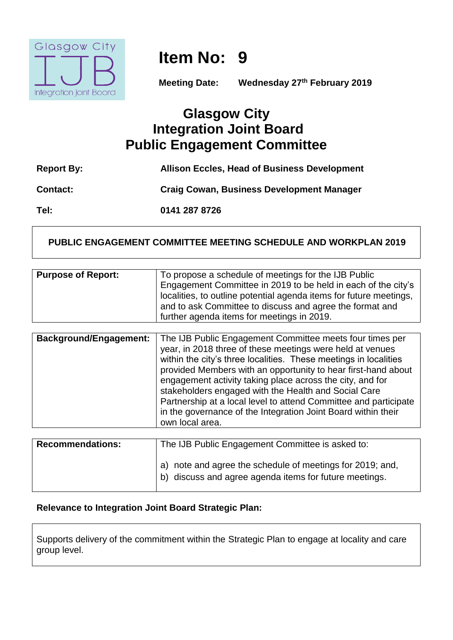

# **Item No: 9**

**Meeting Date: Wednesday 27th February 2019**

## **Glasgow City Integration Joint Board Public Engagement Committee**

| <b>Report By:</b> | <b>Allison Eccles, Head of Business Development</b> |
|-------------------|-----------------------------------------------------|
| <b>Contact:</b>   | <b>Craig Cowan, Business Development Manager</b>    |
| Tel:              | 0141 287 8726                                       |

#### **PUBLIC ENGAGEMENT COMMITTEE MEETING SCHEDULE AND WORKPLAN 2019**

| <b>Purpose of Report:</b> | To propose a schedule of meetings for the IJB Public               |
|---------------------------|--------------------------------------------------------------------|
|                           | Engagement Committee in 2019 to be held in each of the city's      |
|                           | localities, to outline potential agenda items for future meetings, |
|                           | and to ask Committee to discuss and agree the format and           |
|                           | further agenda items for meetings in 2019.                         |

| <b>Background/Engagement:</b> | The IJB Public Engagement Committee meets four times per<br>year, in 2018 three of these meetings were held at venues<br>within the city's three localities. These meetings in localities<br>provided Members with an opportunity to hear first-hand about<br>engagement activity taking place across the city, and for<br>stakeholders engaged with the Health and Social Care<br>Partnership at a local level to attend Committee and participate<br>in the governance of the Integration Joint Board within their<br>own local area. |
|-------------------------------|-----------------------------------------------------------------------------------------------------------------------------------------------------------------------------------------------------------------------------------------------------------------------------------------------------------------------------------------------------------------------------------------------------------------------------------------------------------------------------------------------------------------------------------------|
|                               |                                                                                                                                                                                                                                                                                                                                                                                                                                                                                                                                         |

| <b>Recommendations:</b> | The IJB Public Engagement Committee is asked to:                                                                    |
|-------------------------|---------------------------------------------------------------------------------------------------------------------|
|                         | a) note and agree the schedule of meetings for 2019; and,<br>b) discuss and agree agenda items for future meetings. |

#### **Relevance to Integration Joint Board Strategic Plan:**

Supports delivery of the commitment within the Strategic Plan to engage at locality and care group level.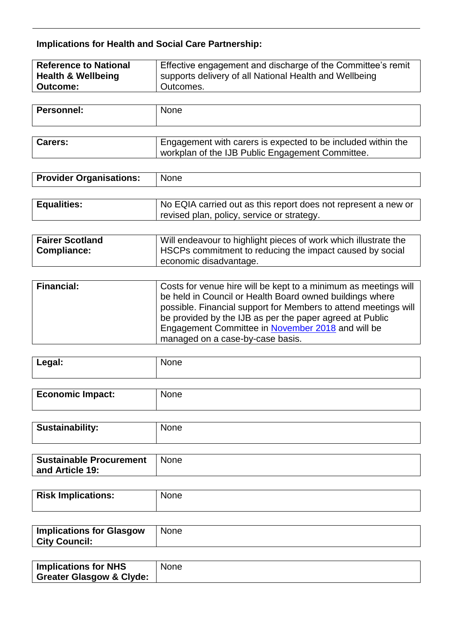### **Implications for Health and Social Care Partnership:**

| <b>Reference to National</b>  | Effective engagement and discharge of the Committee's remit |
|-------------------------------|-------------------------------------------------------------|
| <b>Health &amp; Wellbeing</b> | supports delivery of all National Health and Wellbeing      |
| Outcome:                      | Outcomes.                                                   |

| Personnel:     | None                                                                                                             |
|----------------|------------------------------------------------------------------------------------------------------------------|
|                |                                                                                                                  |
| <b>Carers:</b> | Engagement with carers is expected to be included within the<br>workplan of the IJB Public Engagement Committee. |

| <b>Provider Organisations:</b> | <b>None</b> |
|--------------------------------|-------------|
|                                |             |

| <b>Equalities:</b> | No EQIA carried out as this report does not represent a new or<br>revised plan, policy, service or strategy. |
|--------------------|--------------------------------------------------------------------------------------------------------------|
|                    |                                                                                                              |

| <b>Fairer Scotland</b> | Will endeavour to highlight pieces of work which illustrate the |
|------------------------|-----------------------------------------------------------------|
| <b>Compliance:</b>     | HSCPs commitment to reducing the impact caused by social        |
|                        | l economic disadvantage.                                        |

| <b>Financial:</b> | Costs for venue hire will be kept to a minimum as meetings will<br>be held in Council or Health Board owned buildings where<br>possible. Financial support for Members to attend meetings will<br>be provided by the IJB as per the paper agreed at Public<br>Engagement Committee in November 2018 and will be |
|-------------------|-----------------------------------------------------------------------------------------------------------------------------------------------------------------------------------------------------------------------------------------------------------------------------------------------------------------|
|                   | managed on a case-by-case basis.                                                                                                                                                                                                                                                                                |

| Legal: | None |
|--------|------|
|        |      |

| <b>Economic Impact:</b> | $1 - 1$ |
|-------------------------|---------|
|                         |         |

| Sustainability: | None |
|-----------------|------|
|                 |      |

| <b>Sustainable Procurement</b> | None |
|--------------------------------|------|
| and Article 19:                |      |

| <b>Risk Implications:</b> | <b>None</b> |
|---------------------------|-------------|
|                           |             |

| <b>Implications for Glasgow</b> | <b>None</b> |
|---------------------------------|-------------|
| <b>City Council:</b>            |             |

| <b>Implications for NHS</b>         | <b>None</b> |
|-------------------------------------|-------------|
| <b>Greater Glasgow &amp; Clyde:</b> |             |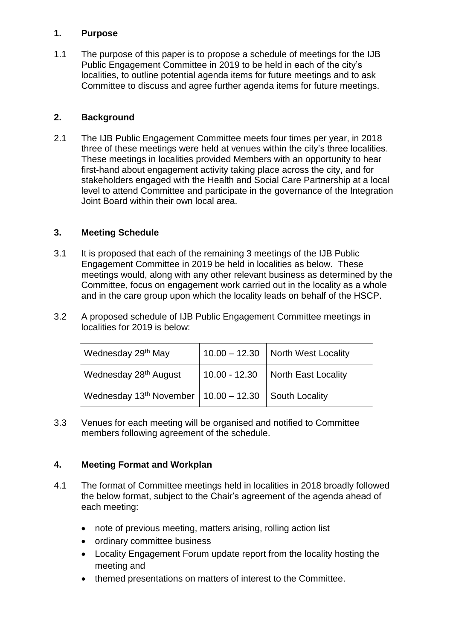#### **1. Purpose**

1.1 The purpose of this paper is to propose a schedule of meetings for the IJB Public Engagement Committee in 2019 to be held in each of the city's localities, to outline potential agenda items for future meetings and to ask Committee to discuss and agree further agenda items for future meetings.

#### **2. Background**

2.1 The IJB Public Engagement Committee meets four times per year, in 2018 three of these meetings were held at venues within the city's three localities. These meetings in localities provided Members with an opportunity to hear first-hand about engagement activity taking place across the city, and for stakeholders engaged with the Health and Social Care Partnership at a local level to attend Committee and participate in the governance of the Integration Joint Board within their own local area.

#### **3. Meeting Schedule**

- 3.1 It is proposed that each of the remaining 3 meetings of the IJB Public Engagement Committee in 2019 be held in localities as below. These meetings would, along with any other relevant business as determined by the Committee, focus on engagement work carried out in the locality as a whole and in the care group upon which the locality leads on behalf of the HSCP.
- 3.2 A proposed schedule of IJB Public Engagement Committee meetings in localities for 2019 is below:

| Wednesday 29 <sup>th</sup> May                                       | $10.00 - 12.30$ North West Locality |
|----------------------------------------------------------------------|-------------------------------------|
| Wednesday 28 <sup>th</sup> August                                    | 10.00 - 12.30   North East Locality |
| Wednesday 13 <sup>th</sup> November   10.00 - 12.30   South Locality |                                     |

3.3 Venues for each meeting will be organised and notified to Committee members following agreement of the schedule.

#### **4. Meeting Format and Workplan**

- 4.1 The format of Committee meetings held in localities in 2018 broadly followed the below format, subject to the Chair's agreement of the agenda ahead of each meeting:
	- note of previous meeting, matters arising, rolling action list
	- ordinary committee business
	- Locality Engagement Forum update report from the locality hosting the meeting and
	- themed presentations on matters of interest to the Committee.